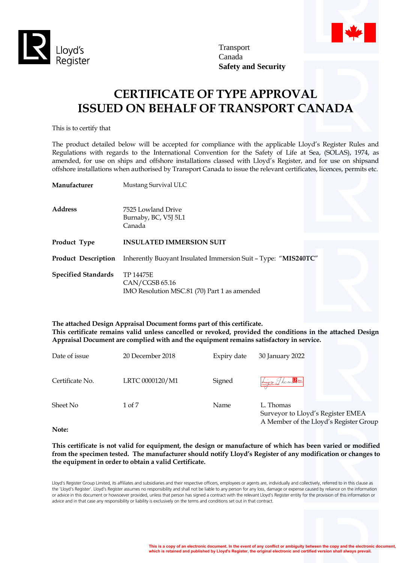

Transport Canada **Safety and Security**

# **CERTIFICATE OF TYPE APPROVAL ISSUED ON BEHALF OF TRANSPORT CANADA**

This is to certify that

The product detailed below will be accepted for compliance with the applicable Lloyd's Register Rules and Regulations with regards to the International Convention for the Safety of Life at Sea, (SOLAS), 1974, as amended, for use on ships and offshore installations classed with Lloyd's Register, and for use on shipsand offshore installations when authorised by Transport Canada to issue the relevant certificates, licences, permits etc.

| Manufacturer               | Mustang Survival ULC                                                        |  |
|----------------------------|-----------------------------------------------------------------------------|--|
| <b>Address</b>             | 7525 Lowland Drive<br>Burnaby, BC, V5J 5L1<br>Canada                        |  |
| Product Type               | <b>INSULATED IMMERSION SUIT</b>                                             |  |
| <b>Product Description</b> | Inherently Buoyant Insulated Immersion Suit - Type: "MIS240TC"              |  |
| <b>Specified Standards</b> | TP 14475E<br>CAN/CGSB 65.16<br>IMO Resolution MSC.81 (70) Part 1 as amended |  |

**The attached Design Appraisal Document forms part of this certificate. This certificate remains valid unless cancelled or revoked, provided the conditions in the attached Design Appraisal Document are complied with and the equipment remains satisfactory in service.**

| Date of issue   | 20 December 2018 | Expiry date | 30 January 2022                                                                          |
|-----------------|------------------|-------------|------------------------------------------------------------------------------------------|
| Certificate No. | LRTC 0000120/M1  | Signed      | London Burgh A M M R                                                                     |
| Sheet No        | 1 of 7           | Name        | L. Thomas<br>Surveyor to Lloyd's Register EMEA<br>A Member of the Lloyd's Register Group |

**Note:**

**This certificate is not valid for equipment, the design or manufacture of which has been varied or modified from the specimen tested. The manufacturer should notify Lloyd's Register of any modification or changes to the equipment in order to obtain a valid Certificate.**

Lloyd's Register Group Limited, its affiliates and subsidiaries and their respective officers, employees or agents are, individually and collectively, referred to in this clause as the 'Lloyd's Register'. Lloyd's Register assumes no responsibility and shall not be liable to any person for any loss, damage or expense caused by reliance on the information or advice in this document or howsoever provided, unless that person has signed a contract with the relevant Lloyd's Register entity for the provision of this information or advice and in that case any responsibility or liability is exclusively on the terms and conditions set out in that contract.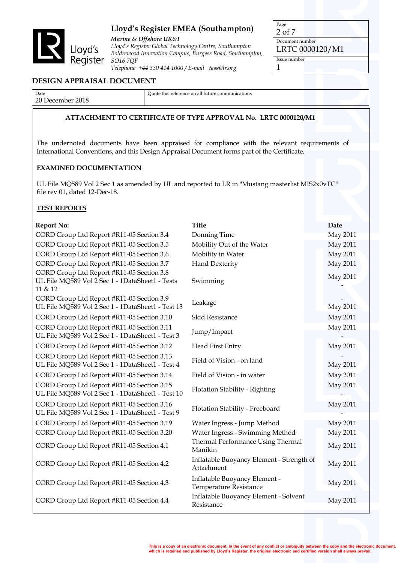

*Marine & Offshore UK&I Lloyd's Register Global Technology Centre, Southampton Boldrewood Innovation Campus, Burgess Road, Southampton, SO16 7QF Telephone +44 330 414 1000 / E-mail tass@lr.org*

Page 2 of 7 Document number

LRTC 0000120/M1

Issue number 1

## **DESIGN APPRAISAL DOCUMENT**

Date 20 December 2018 Quote this reference on all future communications

# **ATTACHMENT TO CERTIFICATE OF TYPE APPROVAL No. LRTC 0000120/M1**

The undernoted documents have been appraised for compliance with the relevant requirements of International Conventions, and this Design Appraisal Document forms part of the Certificate.

#### **EXAMINED DOCUMENTATION**

UL File MQ589 Vol 2 Sec 1 as amended by UL and reported to LR in "Mustang masterlist MIS2x0vTC" file rev 01, dated 12-Dec-18.

## **TEST REPORTS**

| <b>Report No:</b>                                                                                       | <b>Title</b>                                            | Date            |
|---------------------------------------------------------------------------------------------------------|---------------------------------------------------------|-----------------|
| CORD Group Ltd Report #R11-05 Section 3.4                                                               | Donning Time                                            | May 2011        |
| CORD Group Ltd Report #R11-05 Section 3.5                                                               | Mobility Out of the Water                               | May 2011        |
| CORD Group Ltd Report #R11-05 Section 3.6                                                               | Mobility in Water                                       | <b>May 2011</b> |
| CORD Group Ltd Report #R11-05 Section 3.7                                                               | <b>Hand Dexterity</b>                                   | May 2011        |
| CORD Group Ltd Report #R11-05 Section 3.8<br>UL File MQ589 Vol 2 Sec 1 - 1DataSheet1 - Tests<br>11 & 12 | Swimming                                                | May 2011        |
| CORD Group Ltd Report #R11-05 Section 3.9<br>UL File MQ589 Vol 2 Sec 1 - 1DataSheet1 - Test 13          | Leakage                                                 | May 2011        |
| CORD Group Ltd Report #R11-05 Section 3.10                                                              | Skid Resistance                                         | May 2011        |
| CORD Group Ltd Report #R11-05 Section 3.11<br>UL File MQ589 Vol 2 Sec 1 - 1DataSheet1 - Test 3          | Jump/Impact                                             | <b>May 2011</b> |
| CORD Group Ltd Report #R11-05 Section 3.12                                                              | Head First Entry                                        | May 2011        |
| CORD Group Ltd Report #R11-05 Section 3.13<br>UL File MQ589 Vol 2 Sec 1 - 1DataSheet1 - Test 4          | Field of Vision - on land                               | May 2011        |
| CORD Group Ltd Report #R11-05 Section 3.14                                                              | Field of Vision - in water                              | May 2011        |
| CORD Group Ltd Report #R11-05 Section 3.15<br>UL File MQ589 Vol 2 Sec 1 - 1DataSheet1 - Test 10         | Flotation Stability - Righting                          | May 2011        |
| CORD Group Ltd Report #R11-05 Section 3.16<br>UL File MQ589 Vol 2 Sec 1 - 1DataSheet1 - Test 9          | Flotation Stability - Freeboard                         | May 2011        |
| CORD Group Ltd Report #R11-05 Section 3.19                                                              | Water Ingress - Jump Method                             | May 2011        |
| CORD Group Ltd Report #R11-05 Section 3.20                                                              | Water Ingress - Swimming Method                         | <b>May 2011</b> |
| CORD Group Ltd Report #R11-05 Section 4.1                                                               | Thermal Performance Using Thermal<br>Manikin            | May 2011        |
| CORD Group Ltd Report #R11-05 Section 4.2                                                               | Inflatable Buoyancy Element - Strength of<br>Attachment | May 2011        |
| CORD Group Ltd Report #R11-05 Section 4.3                                                               | Inflatable Buoyancy Element -<br>Temperature Resistance | May 2011        |
| CORD Group Ltd Report #R11-05 Section 4.4                                                               | Inflatable Buoyancy Element - Solvent<br>Resistance     | May 2011        |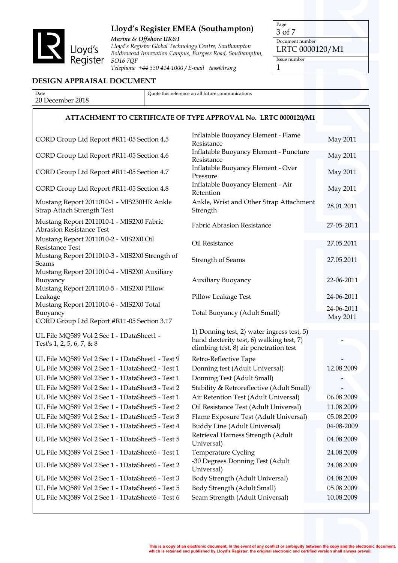

*Marine & Offshore UK&I Lloyd's Register Global Technology Centre, Southampton Boldrewood Innovation Campus, Burgess Road, Southampton, SO16 7QF Telephone +44 330 414 1000 / E-mail tass@lr.org*

Page 3 of 7

Document number LRTC 0000120/M1

Issue number

1

## **DESIGN APPRAISAL DOCUMENT**

| Date                                                                                                | Quote this reference on all future communications                                                                                |                        |
|-----------------------------------------------------------------------------------------------------|----------------------------------------------------------------------------------------------------------------------------------|------------------------|
| 20 December 2018                                                                                    |                                                                                                                                  |                        |
|                                                                                                     | <b>ATTACHMENT TO CERTIFICATE OF TYPE APPROVAL No. LRTC 0000120/M1</b>                                                            |                        |
|                                                                                                     |                                                                                                                                  |                        |
| CORD Group Ltd Report #R11-05 Section 4.5                                                           | Inflatable Buoyancy Element - Flame<br>Resistance                                                                                | May 2011               |
| CORD Group Ltd Report #R11-05 Section 4.6                                                           | Inflatable Buoyancy Element - Puncture<br>Resistance                                                                             | May 2011               |
| CORD Group Ltd Report #R11-05 Section 4.7                                                           | Inflatable Buoyancy Element - Over<br>Pressure                                                                                   | May 2011               |
| CORD Group Ltd Report #R11-05 Section 4.8                                                           | Inflatable Buoyancy Element - Air<br>Retention                                                                                   | May 2011               |
| Mustang Report 2011010-1 - MIS230HR Ankle<br><b>Strap Attach Strength Test</b>                      | Ankle, Wrist and Other Strap Attachment<br>Strength                                                                              | 28.01.2011             |
| Mustang Report 2011010-1 - MIS2X0 Fabric<br><b>Abrasion Resistance Test</b>                         | <b>Fabric Abrasion Resistance</b>                                                                                                | 27-05-2011             |
| Mustang Report 2011010-2 - MIS2X0 Oil<br>Resistance Test                                            | Oil Resistance                                                                                                                   | 27.05.2011             |
| Mustang Report 2011010-3 - MIS2X0 Strength of<br>Seams                                              | <b>Strength of Seams</b>                                                                                                         | 27.05.2011             |
| Mustang Report 2011010-4 - MIS2X0 Auxiliary<br>Buoyancy<br>Mustang Report 2011010-5 - MIS2X0 Pillow | <b>Auxiliary Buoyancy</b>                                                                                                        | 22-06-2011             |
| Leakage                                                                                             | Pillow Leakage Test                                                                                                              | 24-06-2011             |
| Mustang Report 2011010-6 - MIS2X0 Total<br>Buoyancy<br>CORD Group Ltd Report #R11-05 Section 3.17   | Total Buoyancy (Adult Small)                                                                                                     | 24-06-2011<br>May 2011 |
| UL File MQ589 Vol 2 Sec 1 - 1DataSheet1 -<br>Test's 1, 2, 5, 6, 7, & 8                              | 1) Donning test, 2) water ingress test, 5)<br>hand dexterity test, 6) walking test, 7)<br>climbing test, 8) air penetration test |                        |
| UL File MQ589 Vol 2 Sec 1 - 1DataSheet1 - Test 9                                                    | Retro-Reflective Tape                                                                                                            |                        |
| UL File MQ589 Vol 2 Sec 1 - 1DataSheet2 - Test 1                                                    | Donning test (Adult Universal)                                                                                                   | 12.08.2009             |
| UL File MQ589 Vol 2 Sec 1 - 1DataSheet3 - Test 1                                                    | Donning Test (Adult Small)                                                                                                       |                        |
| UL File MQ589 Vol 2 Sec 1 - 1DataSheet3 - Test 2                                                    | Stability & Retroreflective (Adult Small)                                                                                        |                        |
| UL File MQ589 Vol 2 Sec 1 - 1DataSheet5 - Test 1                                                    | Air Retention Test (Adult Universal)                                                                                             | 06.08.2009             |
| UL File MQ589 Vol 2 Sec 1 - 1DataSheet5 - Test 2                                                    | Oil Resistance Test (Adult Universal)                                                                                            | 11.08.2009             |
| UL File MQ589 Vol 2 Sec 1 - 1DataSheet5 - Test 3                                                    | Flame Exposure Test (Adult Universal)                                                                                            | 05.08.2009             |
| UL File MQ589 Vol 2 Sec 1 - 1DataSheet5 - Test 4                                                    | Buddy Line (Adult Universal)                                                                                                     | 04-08-2009             |
| UL File MQ589 Vol 2 Sec 1 - 1DataSheet5 - Test 5                                                    | Retrieval Harness Strength (Adult<br>Universal)                                                                                  | 04.08.2009             |
| UL File MQ589 Vol 2 Sec 1 - 1DataSheet6 - Test 1                                                    | Temperature Cycling                                                                                                              | 24.08.2009             |
| UL File MQ589 Vol 2 Sec 1 - 1DataSheet6 - Test 2                                                    | -30 Degrees Donning Test (Adult<br>Universal)                                                                                    | 24.08.2009             |
| UL File MQ589 Vol 2 Sec 1 - 1DataSheet6 - Test 3                                                    | Body Strength (Adult Universal)                                                                                                  | 04.08.2009             |
| UL File MQ589 Vol 2 Sec 1 - 1DataSheet6 - Test 5                                                    | Body Strength (Adult Small)                                                                                                      | 05.08.2009             |
| UL File MQ589 Vol 2 Sec 1 - 1DataSheet6 - Test 6                                                    | Seam Strength (Adult Universal)                                                                                                  | 10.08.2009             |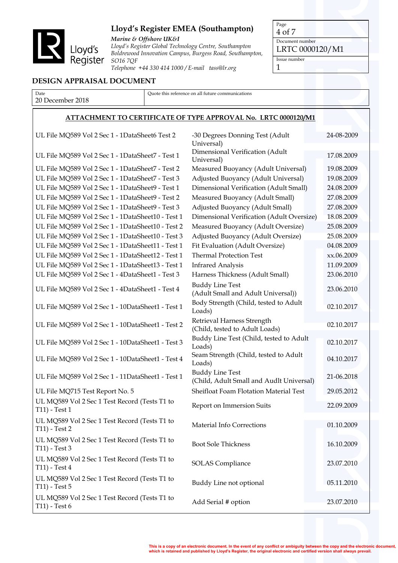

*Marine & Offshore UK&I Lloyd's Register Global Technology Centre, Southampton Boldrewood Innovation Campus, Burgess Road, Southampton, SO16 7QF Telephone +44 330 414 1000 / E-mail tass@lr.org*

Page 4 of 7 Document number

LRTC 0000120/M1

Issue number 1

## **DESIGN APPRAISAL DOCUMENT**

Date 20 December 2018 Quote this reference on all future communications

#### **ATTACHMENT TO CERTIFICATE OF TYPE APPROVAL No. LRTC 0000120/M1**

| UL File MQ589 Vol 2 Sec 1 - 1DataSheet6 Test 2                 | -30 Degrees Donning Test (Adult<br>Universal)                      | 24-08-2009 |
|----------------------------------------------------------------|--------------------------------------------------------------------|------------|
| UL File MQ589 Vol 2 Sec 1 - 1DataSheet7 - Test 1               | Dimensional Verification (Adult<br>Universal)                      | 17.08.2009 |
| UL File MQ589 Vol 2 Sec 1 - 1DataSheet7 - Test 2               | Measured Buoyancy (Adult Universal)                                | 19.08.2009 |
| UL File MQ589 Vol 2 Sec 1 - 1DataSheet7 - Test 3               | Adjusted Buoyancy (Adult Universal)                                | 19.08.2009 |
| UL File MQ589 Vol 2 Sec 1 - 1DataSheet9 - Test 1               | Dimensional Verification (Adult Small)                             | 24.08.2009 |
| UL File MQ589 Vol 2 Sec 1 - 1DataSheet9 - Test 2               | Measured Buoyancy (Adult Small)                                    | 27.08.2009 |
| UL File MQ589 Vol 2 Sec 1 - 1DataSheet9 - Test 3               | Adjusted Buoyancy (Adult Small)                                    | 27.08.2009 |
| UL File MQ589 Vol 2 Sec 1 - 1DataSheet10 - Test 1              | Dimensional Verification (Adult Oversize)                          | 18.08.2009 |
| UL File MQ589 Vol 2 Sec 1 - 1DataSheet10 - Test 2              | Measured Buoyancy (Adult Oversize)                                 | 25.08.2009 |
| UL File MQ589 Vol 2 Sec 1 - 1DataSheet10 - Test 3              | Adjusted Buoyancy (Adult Oversize)                                 | 25.08.2009 |
| UL File MQ589 Vol 2 Sec 1 - 1DataSheet11 - Test 1              | Fit Evaluation (Adult Oversize)                                    | 04.08.2009 |
| UL File MQ589 Vol 2 Sec 1 - 1DataSheet12 - Test 1              | <b>Thermal Protection Test</b>                                     | xx.06.2009 |
| UL File MQ589 Vol 2 Sec 1 - 1DataSheet13 - Test 1              | <b>Infrared Analysis</b>                                           | 11.09.2009 |
| UL File MQ589 Vol 2 Sec 1 - 4DataSheet1 - Test 3               | Harness Thickness (Adult Small)                                    | 23.06.2010 |
| UL File MQ589 Vol 2 Sec 1 - 4DataSheet1 - Test 4               | <b>Buddy Line Test</b><br>(Adult Small and Adult Universal))       | 23.06.2010 |
| UL File MQ589 Vol 2 Sec 1 - 10DataSheet1 - Test 1              | Body Strength (Child, tested to Adult<br>Loads)                    | 02.10.2017 |
| UL File MQ589 Vol 2 Sec 1 - 10DataSheet1 - Test 2              | Retrieval Harness Strength<br>(Child, tested to Adult Loads)       | 02.10.2017 |
| UL File MQ589 Vol 2 Sec 1 - 10DataSheet1 - Test 3              | Buddy Line Test (Child, tested to Adult<br>Loads)                  | 02.10.2017 |
| UL File MQ589 Vol 2 Sec 1 - 10DataSheet1 - Test 4              | Seam Strength (Child, tested to Adult<br>Loads)                    | 04.10.2017 |
| UL File MQ589 Vol 2 Sec 1 - 11DataSheet1 - Test 1              | <b>Buddy Line Test</b><br>(Child, Adult Small and Audlt Universal) | 21-06.2018 |
| UL File MQ715 Test Report No. 5                                | Sheifloat Foam Flotation Material Test                             | 29.05.2012 |
| UL MQ589 Vol 2 Sec 1 Test Record (Tests T1 to<br>T11) - Test 1 | Report on Immersion Suits                                          | 22.09.2009 |
| UL MQ589 Vol 2 Sec 1 Test Record (Tests T1 to<br>T11) - Test 2 | <b>Material Info Corrections</b>                                   | 01.10.2009 |
| UL MQ589 Vol 2 Sec 1 Test Record (Tests T1 to<br>T11) - Test 3 | <b>Boot Sole Thickness</b>                                         | 16.10.2009 |
| UL MQ589 Vol 2 Sec 1 Test Record (Tests T1 to<br>T11) - Test 4 | <b>SOLAS</b> Compliance                                            | 23.07.2010 |
| UL MQ589 Vol 2 Sec 1 Test Record (Tests T1 to<br>T11) - Test 5 | Buddy Line not optional                                            | 05.11.2010 |
| UL MQ589 Vol 2 Sec 1 Test Record (Tests T1 to<br>T11) - Test 6 | Add Serial # option                                                | 23.07.2010 |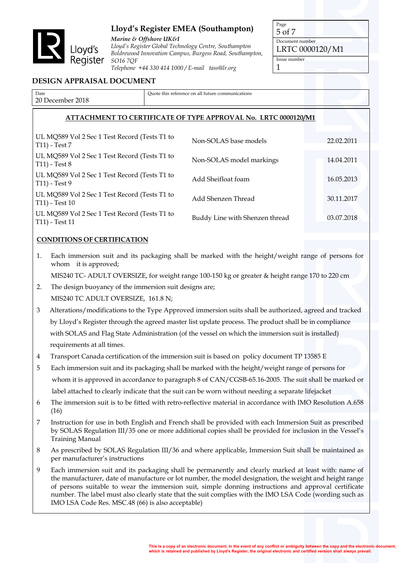

*Marine & Offshore UK&I Lloyd's Register Global Technology Centre, Southampton Boldrewood Innovation Campus, Burgess Road, Southampton, SO16 7QF Telephone +44 330 414 1000 / E-mail tass@lr.org*

Page 5 of 7 Document number

LRTC 0000120/M1

Issue number 1

## **DESIGN APPRAISAL DOCUMENT**

| Date                     | Ouote this reference on all future communications |  |  |
|--------------------------|---------------------------------------------------|--|--|
| 2018<br>20 l<br>Jecember |                                                   |  |  |
|                          |                                                   |  |  |

## **ATTACHMENT TO CERTIFICATE OF TYPE APPROVAL No. LRTC 0000120/M1**

| UL MQ589 Vol 2 Sec 1 Test Record (Tests T1 to<br>T11) - Test 7    | Non-SOLAS base models          | 22.02.2011 |
|-------------------------------------------------------------------|--------------------------------|------------|
| UL MQ589 Vol 2 Sec 1 Test Record (Tests T1 to<br>$T11$ ) - Test 8 | Non-SOLAS model markings       | 14.04.2011 |
| UL MQ589 Vol 2 Sec 1 Test Record (Tests T1 to<br>T11) - Test 9    | Add Sheifloat foam             | 16.05.2013 |
| UL MQ589 Vol 2 Sec 1 Test Record (Tests T1 to<br>T11) - Test 10   | Add Shenzen Thread             | 30.11.2017 |
| UL MQ589 Vol 2 Sec 1 Test Record (Tests T1 to<br>T11) - Test 11   | Buddy Line with Shenzen thread | 03.07.2018 |

#### **CONDITIONS OF CERTIFICATION**

1. Each immersion suit and its packaging shall be marked with the height/weight range of persons for whom it is approved;

MIS240 TC- ADULT OVERSIZE, for weight range 100-150 kg or greater & height range 170 to 220 cm

- 2. The design buoyancy of the immersion suit designs are; MIS240 TC ADULT OVERSIZE, 161.8 N;
- 3 Alterations/modifications to the Type Approved immersion suits shall be authorized, agreed and tracked by Lloyd's Register through the agreed master list update process. The product shall be in compliance with SOLAS and Flag State Administration (of the vessel on which the immersion suit is installed) requirements at all times.
- 4 Transport Canada certification of the immersion suit is based on policy document TP 13585 E
- 5 Each immersion suit and its packaging shall be marked with the height/weight range of persons for whom it is approved in accordance to paragraph 8 of CAN/CGSB-65.16-2005. The suit shall be marked or label attached to clearly indicate that the suit can be worn without needing a separate lifejacket
- 6 The immersion suit is to be fitted with retro-reflective material in accordance with IMO Resolution A.658 (16)
- 7 Instruction for use in both English and French shall be provided with each Immersion Suit as prescribed by SOLAS Regulation III/35 one or more additional copies shall be provided for inclusion in the Vessel's Training Manual
- 8 As prescribed by SOLAS Regulation III/36 and where applicable, Immersion Suit shall be maintained as per manufacturer's instructions
- 9 Each immersion suit and its packaging shall be permanently and clearly marked at least with: name of the manufacturer, date of manufacture or lot number, the model designation, the weight and height range of persons suitable to wear the immersion suit, simple donning instructions and approval certificate number. The label must also clearly state that the suit complies with the IMO LSA Code (wording such as IMO LSA Code Res. MSC.48 (66) is also acceptable)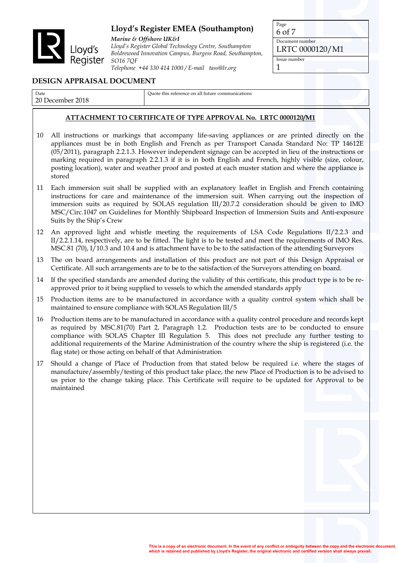

*Marine & Offshore UK&I Lloyd's Register Global Technology Centre, Southampton Boldrewood Innovation Campus, Burgess Road, Southampton, SO16 7QF Telephone +44 330 414 1000 / E-mail tass@lr.org*

Page 6 of 7 Document number LRTC 0000120/M1 Issue number

## 1

## **DESIGN APPRAISAL DOCUMENT**

Date 20 December 2018 Quote this reference on all future communications

## **ATTACHMENT TO CERTIFICATE OF TYPE APPROVAL No. LRTC 0000120/M1**

- 10 All instructions or markings that accompany life-saving appliances or are printed directly on the appliances must be in both English and French as per Transport Canada Standard No: TP 14612E (05/2011), paragraph 2.2.1.3. However independent signage can be accepted in lieu of the instructions or marking required in paragraph 2.2.1.3 if it is in both English and French, highly visible (size, colour, posting location), water and weather proof and posted at each muster station and where the appliance is stored
- 11 Each immersion suit shall be supplied with an explanatory leaflet in English and French containing instructions for care and maintenance of the immersion suit. When carrying out the inspection of immersion suits as required by SOLAS regulation III/20.7.2 consideration should be given to IMO MSC/Circ.1047 on Guidelines for Monthly Shipboard Inspection of Immersion Suits and Anti-exposure Suits by the Ship's Crew
- 12 An approved light and whistle meeting the requirements of LSA Code Regulations II/2.2.3 and II/2.2.1.14, respectively, are to be fitted. The light is to be tested and meet the requirements of IMO Res. MSC.81 (70), I/10.3 and 10.4 and is attachment have to be to the satisfaction of the attending Surveyors
- 13 The on board arrangements and installation of this product are not part of this Design Appraisal or Certificate. All such arrangements are to be to the satisfaction of the Surveyors attending on board.
- 14 If the specified standards are amended during the validity of this certificate, this product type is to be reapproved prior to it being supplied to vessels to which the amended standards apply
- 15 Production items are to be manufactured in accordance with a quality control system which shall be maintained to ensure compliance with SOLAS Regulation III/5
- 16 Production items are to be manufactured in accordance with a quality control procedure and records kept as required by MSC.81(70) Part 2, Paragraph 1.2. Production tests are to be conducted to ensure compliance with SOLAS Chapter III Regulation 5. This does not preclude any further testing to additional requirements of the Marine Administration of the country where the ship is registered (i.e. the flag state) or those acting on behalf of that Administration
- 17 Should a change of Place of Production from that stated below be required i.e. where the stages of manufacture/assembly/testing of this product take place, the new Place of Production is to be advised to us prior to the change taking place. This Certificate will require to be updated for Approval to be maintained